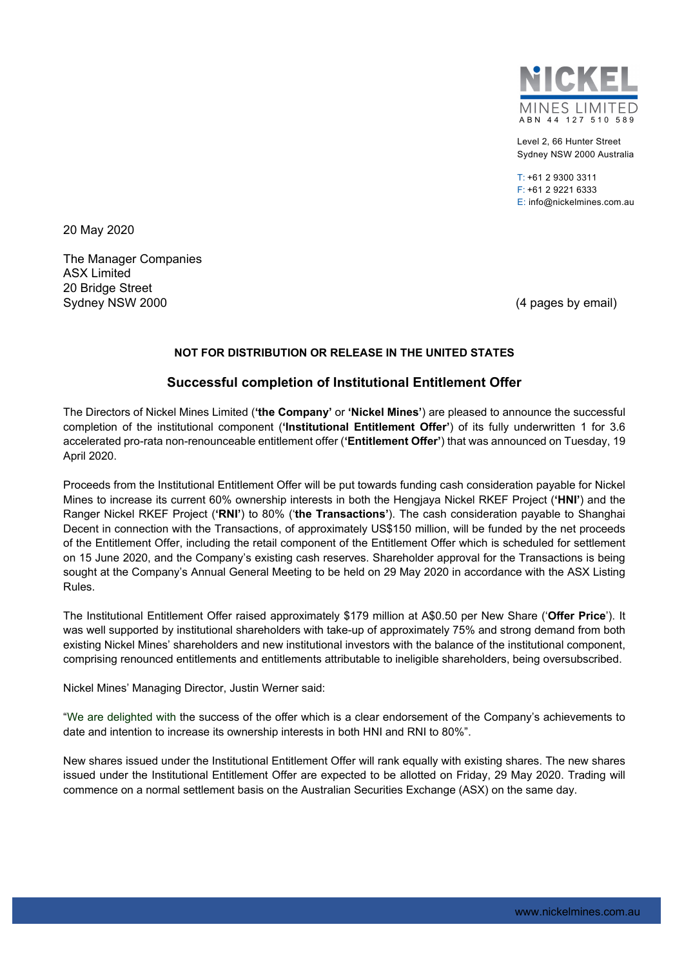

Level 2, 66 Hunter Street Sydney NSW 2000 Australia

 $T: +61$  2 9300 3311 F: +61 2 9221 6333 E: info@nickelmines.com.au

20 May 2020

The Manager Companies ASX Limited 20 Bridge Street Sydney NSW 2000 **(4 pages by email)** Sydney NSW 2000

### **NOT FOR DISTRIBUTION OR RELEASE IN THE UNITED STATES**

# **Successful completion of Institutional Entitlement Offer**

The Directors of Nickel Mines Limited (**'the Company'** or **'Nickel Mines'**) are pleased to announce the successful completion of the institutional component (**'Institutional Entitlement Offer'**) of its fully underwritten 1 for 3.6 accelerated pro-rata non-renounceable entitlement offer (**'Entitlement Offer'**) that was announced on Tuesday, 19 April 2020.

Proceeds from the Institutional Entitlement Offer will be put towards funding cash consideration payable for Nickel Mines to increase its current 60% ownership interests in both the Hengjaya Nickel RKEF Project (**'HNI'**) and the Ranger Nickel RKEF Project (**'RNI'**) to 80% ('**the Transactions'**). The cash consideration payable to Shanghai Decent in connection with the Transactions, of approximately US\$150 million, will be funded by the net proceeds of the Entitlement Offer, including the retail component of the Entitlement Offer which is scheduled for settlement on 15 June 2020, and the Company's existing cash reserves. Shareholder approval for the Transactions is being sought at the Company's Annual General Meeting to be held on 29 May 2020 in accordance with the ASX Listing Rules.

The Institutional Entitlement Offer raised approximately \$179 million at A\$0.50 per New Share ('**Offer Price**'). It was well supported by institutional shareholders with take-up of approximately 75% and strong demand from both existing Nickel Mines' shareholders and new institutional investors with the balance of the institutional component, comprising renounced entitlements and entitlements attributable to ineligible shareholders, being oversubscribed.

Nickel Mines' Managing Director, Justin Werner said:

"We are delighted with the success of the offer which is a clear endorsement of the Company's achievements to date and intention to increase its ownership interests in both HNI and RNI to 80%".

New shares issued under the Institutional Entitlement Offer will rank equally with existing shares. The new shares issued under the Institutional Entitlement Offer are expected to be allotted on Friday, 29 May 2020. Trading will commence on a normal settlement basis on the Australian Securities Exchange (ASX) on the same day.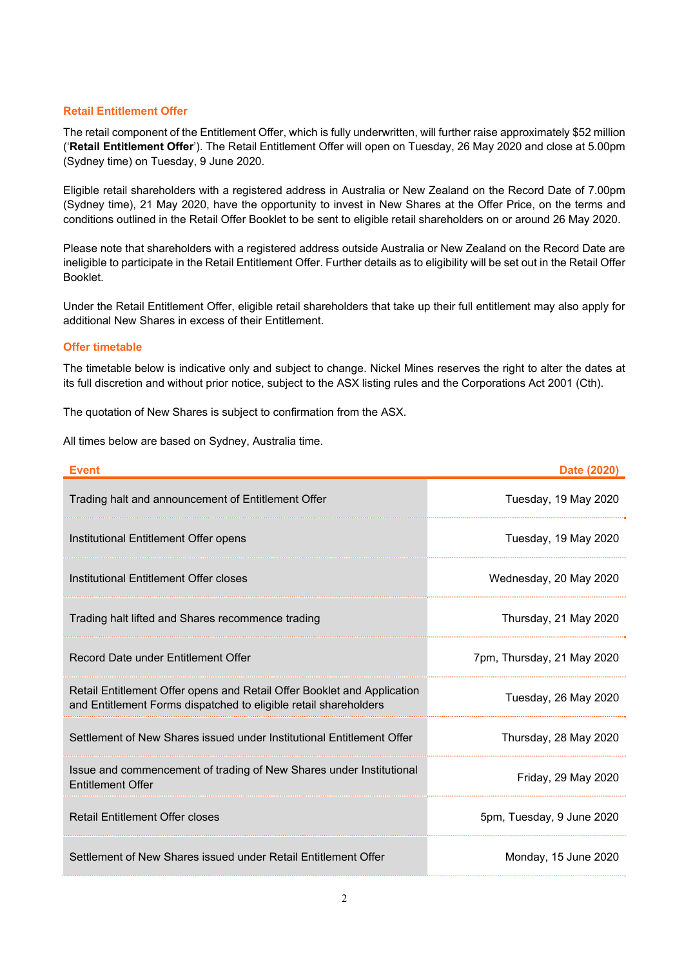### **Retail Entitlement Offer**

The retail component of the Entitlement Offer, which is fully underwritten, will further raise approximately \$52 million ('**Retail Entitlement Offer**'). The Retail Entitlement Offer will open on Tuesday, 26 May 2020 and close at 5.00pm (Sydney time) on Tuesday, 9 June 2020.

Eligible retail shareholders with a registered address in Australia or New Zealand on the Record Date of 7.00pm (Sydney time), 21 May 2020, have the opportunity to invest in New Shares at the Offer Price, on the terms and conditions outlined in the Retail Offer Booklet to be sent to eligible retail shareholders on or around 26 May 2020.

Please note that shareholders with a registered address outside Australia or New Zealand on the Record Date are ineligible to participate in the Retail Entitlement Offer. Further details as to eligibility will be set out in the Retail Offer Booklet.

Under the Retail Entitlement Offer, eligible retail shareholders that take up their full entitlement may also apply for additional New Shares in excess of their Entitlement.

## **Offer timetable**

The timetable below is indicative only and subject to change. Nickel Mines reserves the right to alter the dates at its full discretion and without prior notice, subject to the ASX listing rules and the Corporations Act 2001 (Cth).

The quotation of New Shares is subject to confirmation from the ASX.

All times below are based on Sydney, Australia time.

| <b>Event</b>                                                                                                                                | Date (2020)                |
|---------------------------------------------------------------------------------------------------------------------------------------------|----------------------------|
| Trading halt and announcement of Entitlement Offer                                                                                          | Tuesday, 19 May 2020       |
| Institutional Entitlement Offer opens                                                                                                       | Tuesday, 19 May 2020       |
| Institutional Entitlement Offer closes                                                                                                      | Wednesday, 20 May 2020     |
| Trading halt lifted and Shares recommence trading                                                                                           | Thursday, 21 May 2020      |
| Record Date under Entitlement Offer                                                                                                         | 7pm, Thursday, 21 May 2020 |
| Retail Entitlement Offer opens and Retail Offer Booklet and Application<br>and Entitlement Forms dispatched to eligible retail shareholders | Tuesday, 26 May 2020       |
| Settlement of New Shares issued under Institutional Entitlement Offer                                                                       | Thursday, 28 May 2020      |
| Issue and commencement of trading of New Shares under Institutional<br><b>Entitlement Offer</b>                                             | Friday, 29 May 2020        |
| <b>Retail Entitlement Offer closes</b>                                                                                                      | 5pm, Tuesday, 9 June 2020  |
| Settlement of New Shares issued under Retail Entitlement Offer                                                                              | Monday, 15 June 2020       |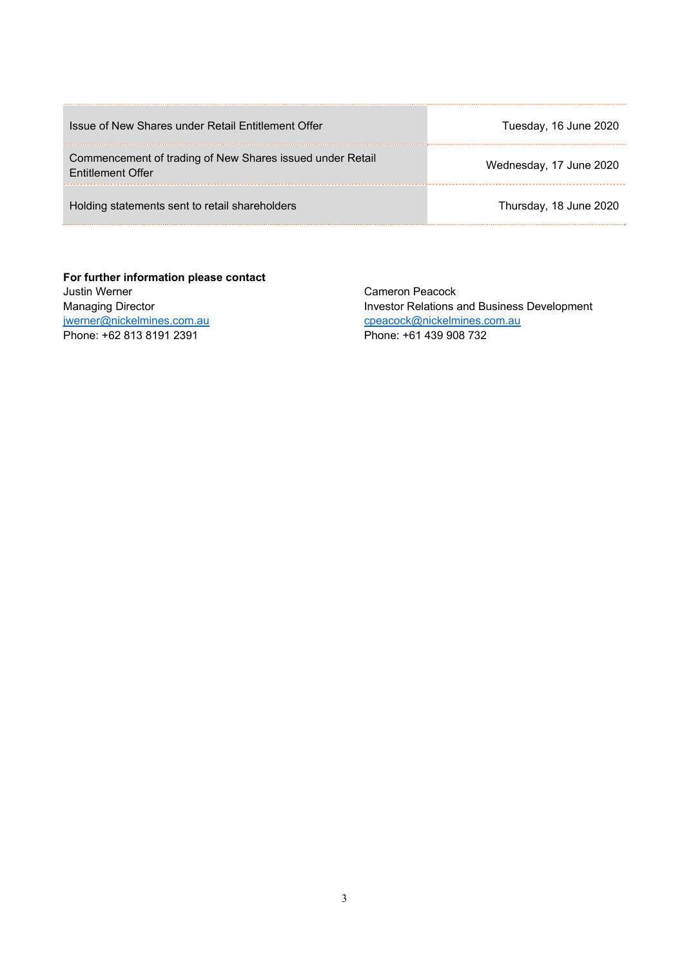| Issue of New Shares under Retail Entitlement Offer                                    | Tuesday, 16 June 2020   |
|---------------------------------------------------------------------------------------|-------------------------|
| Commencement of trading of New Shares issued under Retail<br><b>Entitlement Offer</b> | Wednesday, 17 June 2020 |
| Holding statements sent to retail shareholders                                        | Thursday, 18 June 2020  |

**For further information please contact**  Justin Werner Managing Director jwerner@nickelmines.com.au Phone: +62 813 8191 2391

Cameron Peacock Investor Relations and Business Development cpeacock@nickelmines.com.au Phone: +61 439 908 732